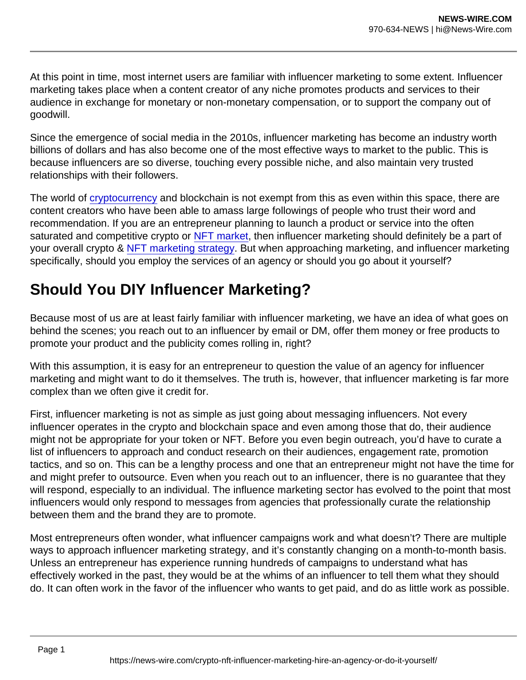At this point in time, most internet users are familiar with influencer marketing to some extent. Influencer marketing takes place when a content creator of any niche promotes products and services to their audience in exchange for monetary or non-monetary compensation, or to support the company out of goodwill.

Since the emergence of social media in the 2010s, influencer marketing has become an industry worth billions of dollars and has also become one of the most effective ways to market to the public. This is because influencers are so diverse, touching every possible niche, and also maintain very trusted relationships with their followers.

The world of [cryptocurrency](https://coinquora.com/what-is-cryptocurrency/) and blockchain is not exempt from this as even within this space, there are content creators who have been able to amass large followings of people who trust their word and recommendation. If you are an entrepreneur planning to launch a product or service into the often saturated and competitive crypto or [NFT market](https://coinquora.com/top-7-nft-collections-in-the-crypto-market/), then influencer marketing should definitely be a part of your overall crypto & [NFT marketing strategy](https://coinquora.com/tag/nfts/). But when approaching marketing, and influencer marketing specifically, should you employ the services of an agency or should you go about it yourself?

## Should You DIY Influencer Marketing?

Because most of us are at least fairly familiar with influencer marketing, we have an idea of what goes on behind the scenes; you reach out to an influencer by email or DM, offer them money or free products to promote your product and the publicity comes rolling in, right?

With this assumption, it is easy for an entrepreneur to question the value of an agency for influencer marketing and might want to do it themselves. The truth is, however, that influencer marketing is far more complex than we often give it credit for.

First, influencer marketing is not as simple as just going about messaging influencers. Not every influencer operates in the crypto and blockchain space and even among those that do, their audience might not be appropriate for your token or NFT. Before you even begin outreach, you'd have to curate a list of influencers to approach and conduct research on their audiences, engagement rate, promotion tactics, and so on. This can be a lengthy process and one that an entrepreneur might not have the time for and might prefer to outsource. Even when you reach out to an influencer, there is no guarantee that they will respond, especially to an individual. The influence marketing sector has evolved to the point that most influencers would only respond to messages from agencies that professionally curate the relationship between them and the brand they are to promote.

Most entrepreneurs often wonder, what influencer campaigns work and what doesn't? There are multiple ways to approach influencer marketing strategy, and it's constantly changing on a month-to-month basis. Unless an entrepreneur has experience running hundreds of campaigns to understand what has effectively worked in the past, they would be at the whims of an influencer to tell them what they should do. It can often work in the favor of the influencer who wants to get paid, and do as little work as possible.